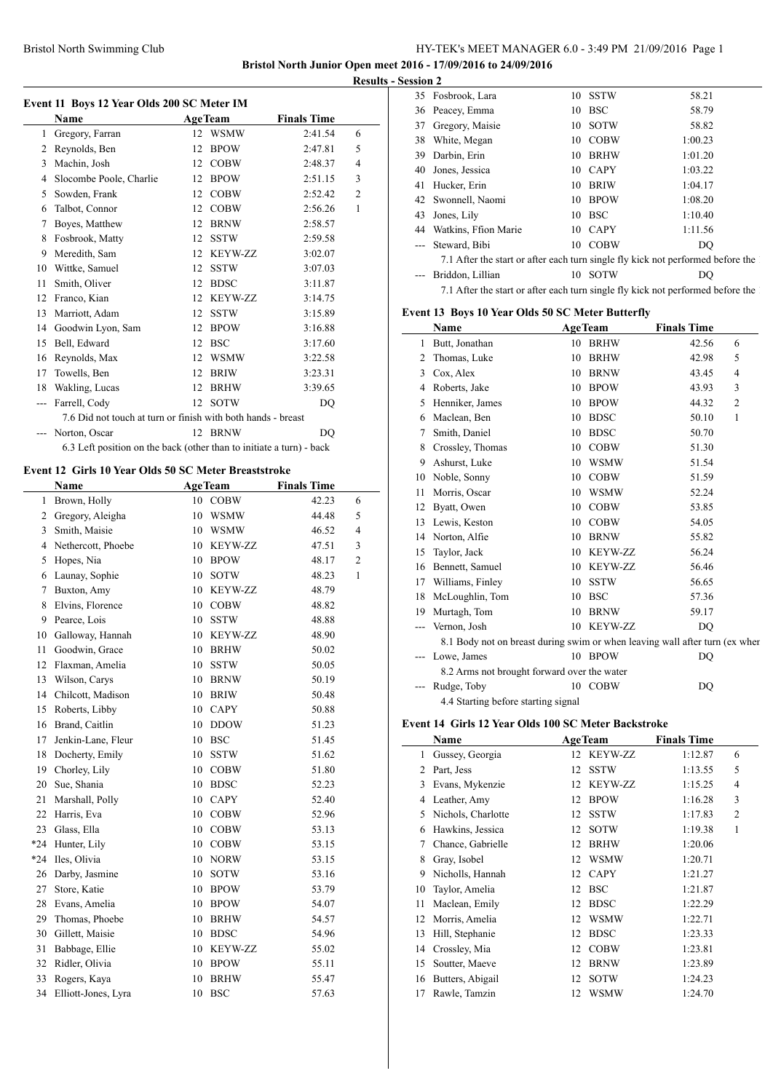# Bristol North Swimming Club HY-TEK's MEET MANAGER 6.0 - 3:49 PM 21/09/2016 Page 1

**Bristol North Junior Open meet 2016 - 17/09/2016 to 24/09/2016 Results - Session 2**

 $\overline{a}$ 

|    | Event 11 Boys 12 Year Olds 200 SC Meter IM                           |                |                |                    |                |
|----|----------------------------------------------------------------------|----------------|----------------|--------------------|----------------|
|    | Name                                                                 | <b>AgeTeam</b> |                | <b>Finals Time</b> |                |
| 1  | Gregory, Farran                                                      | 12             | <b>WSMW</b>    | 2:41.54            | 6              |
| 2  | Reynolds, Ben                                                        | 12             | <b>BPOW</b>    | 2:47.81            | 5              |
| 3  | Machin, Josh                                                         | 12             | <b>COBW</b>    | 2:48.37            | 4              |
| 4  | Slocombe Poole, Charlie                                              | 12             | <b>BPOW</b>    | 2:51.15            | 3              |
| 5  | Sowden, Frank                                                        | 12             | <b>COBW</b>    | 2:52.42            | $\overline{c}$ |
| 6  | Talbot, Connor                                                       | 12             | <b>COBW</b>    | 2:56.26            | 1              |
| 7  | Boyes, Matthew                                                       | 12             | <b>BRNW</b>    | 2:58.57            |                |
| 8  | Fosbrook, Matty                                                      | 12             | <b>SSTW</b>    | 2:59.58            |                |
| 9  | Meredith, Sam                                                        | 12             | KEYW-ZZ        | 3:02.07            |                |
| 10 | Wittke, Samuel                                                       | 12             | <b>SSTW</b>    | 3:07.03            |                |
| 11 | Smith, Oliver                                                        | 12             | <b>BDSC</b>    | 3:11.87            |                |
| 12 | Franco, Kian                                                         | 12             | <b>KEYW-ZZ</b> | 3:14.75            |                |
| 13 | Marriott, Adam                                                       | 12             | <b>SSTW</b>    | 3:15.89            |                |
| 14 | Goodwin Lyon, Sam                                                    | 12             | <b>BPOW</b>    | 3:16.88            |                |
| 15 | Bell, Edward                                                         | 12             | <b>BSC</b>     | 3:17.60            |                |
| 16 | Reynolds, Max                                                        | 12             | <b>WSMW</b>    | 3:22.58            |                |
| 17 | Towells, Ben                                                         | 12             | <b>BRIW</b>    | 3:23.31            |                |
| 18 | Wakling, Lucas                                                       | 12             | <b>BRHW</b>    | 3:39.65            |                |
|    | Farrell, Cody                                                        | 12             | <b>SOTW</b>    | DO                 |                |
|    | 7.6 Did not touch at turn or finish with both hands - breast         |                |                |                    |                |
|    | Norton, Oscar                                                        |                | 12 BRNW        | DO                 |                |
|    | 6.3 Left position on the back (other than to initiate a turn) - back |                |                |                    |                |

### **Event 12 Girls 10 Year Olds 50 SC Meter Breaststroke**

L

|       | <b>Name</b>         | <b>AgeTeam</b> |                | <b>Finals Time</b> |                |
|-------|---------------------|----------------|----------------|--------------------|----------------|
| 1     | Brown, Holly        | 10             | <b>COBW</b>    | 42.23              | 6              |
| 2     | Gregory, Aleigha    | 10             | <b>WSMW</b>    | 44.48              | 5              |
| 3     | Smith, Maisie       | 10             | <b>WSMW</b>    | 46.52              | $\overline{4}$ |
| 4     | Nethercott, Phoebe  | 10             | KEYW-ZZ        | 47.51              | 3              |
| 5     | Hopes, Nia          | 10             | <b>BPOW</b>    | 48.17              | $\overline{c}$ |
| 6     | Launay, Sophie      | 10             | <b>SOTW</b>    | 48.23              | $\mathbf{1}$   |
| 7     | Buxton, Amy         | 10             | <b>KEYW-ZZ</b> | 48.79              |                |
| 8     | Elvins, Florence    | 10             | <b>COBW</b>    | 48.82              |                |
| 9     | Pearce, Lois        | 10             | <b>SSTW</b>    | 48.88              |                |
| 10    | Galloway, Hannah    | 10             | KEYW-ZZ        | 48.90              |                |
| 11    | Goodwin, Grace      | 10             | <b>BRHW</b>    | 50.02              |                |
| 12    | Flaxman, Amelia     | 10             | <b>SSTW</b>    | 50.05              |                |
| 13    | Wilson, Carys       | 10             | <b>BRNW</b>    | 50.19              |                |
| 14    | Chilcott, Madison   | 10             | <b>BRIW</b>    | 50.48              |                |
| 15    | Roberts, Libby      | 10             | <b>CAPY</b>    | 50.88              |                |
| 16    | Brand, Caitlin      | 10             | <b>DDOW</b>    | 51.23              |                |
| 17    | Jenkin-Lane, Fleur  | 10             | <b>BSC</b>     | 51.45              |                |
| 18    | Docherty, Emily     | 10             | <b>SSTW</b>    | 51.62              |                |
| 19    | Chorley, Lily       | 10             | <b>COBW</b>    | 51.80              |                |
| 20    | Sue, Shania         | 10             | <b>BDSC</b>    | 52.23              |                |
| 21    | Marshall, Polly     | 10             | <b>CAPY</b>    | 52.40              |                |
| 22    | Harris, Eva         | 10             | <b>COBW</b>    | 52.96              |                |
| 23    | Glass, Ella         | 10             | <b>COBW</b>    | 53.13              |                |
| $*24$ | Hunter, Lily        | 10             | <b>COBW</b>    | 53.15              |                |
| $*24$ | Iles, Olivia        | 10             | <b>NORW</b>    | 53.15              |                |
| 26    | Darby, Jasmine      | 10             | <b>SOTW</b>    | 53.16              |                |
| 27    | Store, Katie        | 10             | <b>BPOW</b>    | 53.79              |                |
| 28    | Evans, Amelia       | 10             | <b>BPOW</b>    | 54.07              |                |
| 29    | Thomas, Phoebe      | 10             | <b>BRHW</b>    | 54.57              |                |
| 30    | Gillett, Maisie     | 10             | <b>BDSC</b>    | 54.96              |                |
| 31    | Babbage, Ellie      | 10             | <b>KEYW-ZZ</b> | 55.02              |                |
| 32    | Ridler, Olivia      | 10             | <b>BPOW</b>    | 55.11              |                |
| 33    | Rogers, Kaya        | 10             | <b>BRHW</b>    | 55.47              |                |
| 34    | Elliott-Jones, Lyra | 10             | <b>BSC</b>     | 57.63              |                |

|    | 35 Fosbrook, Lara                                                                 |    | 10 SSTW    | 58.21   |
|----|-----------------------------------------------------------------------------------|----|------------|---------|
|    | 36 Peacey, Emma                                                                   | 10 | <b>BSC</b> | 58.79   |
| 37 | Gregory, Maisie                                                                   |    | 10 SOTW    | 58.82   |
| 38 | White, Megan                                                                      |    | 10 COBW    | 1:00.23 |
| 39 | Darbin, Erin                                                                      | 10 | BRHW       | 1:01.20 |
| 40 | Jones, Jessica                                                                    |    | 10 CAPY    | 1:03.22 |
| 41 | Hucker, Erin                                                                      |    | 10 BRIW    | 1:04.17 |
|    | 42 Swonnell, Naomi                                                                |    | 10 BPOW    | 1:08.20 |
| 43 | Jones, Lily                                                                       |    | 10 BSC     | 1:10.40 |
| 44 | Watkins, Ffion Marie                                                              |    | 10 CAPY    | 1:11.56 |
|    | Steward, Bibi                                                                     |    | 10 COBW    | DO      |
|    | 7.1 After the start or after each turn single fly kick not performed before the 1 |    |            |         |
|    | Briddon, Lillian                                                                  |    | 10 SOTW    | DO      |
|    | 7.1 After the start or after each turn single fly kick not performed before the 1 |    |            |         |
|    |                                                                                   |    |            |         |

## **Event 13 Boys 10 Year Olds 50 SC Meter Butterfly**

|    | Name                                                                        |    | <b>AgeTeam</b> | <b>Finals Time</b> |                |
|----|-----------------------------------------------------------------------------|----|----------------|--------------------|----------------|
| 1  | Butt, Jonathan                                                              | 10 | <b>BRHW</b>    | 42.56              | 6              |
| 2  | Thomas, Luke                                                                | 10 | <b>BRHW</b>    | 42.98              | 5              |
| 3  | Cox, Alex                                                                   | 10 | <b>BRNW</b>    | 43.45              | 4              |
| 4  | Roberts, Jake                                                               | 10 | <b>BPOW</b>    | 43.93              | 3              |
| 5  | Henniker, James                                                             | 10 | <b>BPOW</b>    | 44.32              | $\overline{2}$ |
| 6  | Maclean, Ben                                                                | 10 | <b>BDSC</b>    | 50.10              | 1              |
| 7  | Smith, Daniel                                                               | 10 | <b>BDSC</b>    | 50.70              |                |
| 8  | Crossley, Thomas                                                            | 10 | <b>COBW</b>    | 51.30              |                |
| 9  | Ashurst, Luke                                                               | 10 | <b>WSMW</b>    | 51.54              |                |
| 10 | Noble, Sonny                                                                | 10 | <b>COBW</b>    | 51.59              |                |
| 11 | Morris, Oscar                                                               | 10 | <b>WSMW</b>    | 52.24              |                |
| 12 | Byatt, Owen                                                                 | 10 | <b>COBW</b>    | 53.85              |                |
| 13 | Lewis, Keston                                                               | 10 | <b>COBW</b>    | 54.05              |                |
| 14 | Norton, Alfie                                                               | 10 | <b>BRNW</b>    | 55.82              |                |
| 15 | Taylor, Jack                                                                | 10 | <b>KEYW-ZZ</b> | 56.24              |                |
| 16 | Bennett, Samuel                                                             | 10 | <b>KEYW-ZZ</b> | 56.46              |                |
| 17 | Williams, Finley                                                            | 10 | <b>SSTW</b>    | 56.65              |                |
| 18 | McLoughlin, Tom                                                             | 10 | <b>BSC</b>     | 57.36              |                |
| 19 | Murtagh, Tom                                                                | 10 | <b>BRNW</b>    | 59.17              |                |
|    | Vernon, Josh                                                                |    | 10 KEYW-ZZ     | DO                 |                |
|    | 8.1 Body not on breast during swim or when leaving wall after turn (ex when |    |                |                    |                |
|    | Lowe, James                                                                 |    | 10 BPOW        | DQ                 |                |
|    | 8.2 Arms not brought forward over the water                                 |    |                |                    |                |
|    | Rudge, Toby                                                                 |    | 10 COBW        | DQ                 |                |
|    | 4.4 Starting before starting signal                                         |    |                |                    |                |

#### **Event 14 Girls 12 Year Olds 100 SC Meter Backstroke**

|    | Name               |    | <b>AgeTeam</b> | <b>Finals Time</b> |                |
|----|--------------------|----|----------------|--------------------|----------------|
| 1  | Gussey, Georgia    | 12 | <b>KEYW-ZZ</b> | 1:12.87            | 6              |
| 2  | Part, Jess         | 12 | <b>SSTW</b>    | 1:13.55            | 5              |
| 3  | Evans, Mykenzie    | 12 | <b>KEYW-ZZ</b> | 1:15.25            | $\overline{4}$ |
| 4  | Leather, Amy       | 12 | <b>BPOW</b>    | 1:16.28            | 3              |
| 5  | Nichols, Charlotte | 12 | <b>SSTW</b>    | 1:17.83            | $\overline{2}$ |
| 6  | Hawkins, Jessica   | 12 | <b>SOTW</b>    | 1:19.38            | 1              |
| 7  | Chance, Gabrielle  | 12 | <b>BRHW</b>    | 1:20.06            |                |
| 8  | Gray, Isobel       | 12 | <b>WSMW</b>    | 1:20.71            |                |
| 9  | Nicholls, Hannah   | 12 | <b>CAPY</b>    | 1:21.27            |                |
| 10 | Taylor, Amelia     | 12 | <b>BSC</b>     | 1:21.87            |                |
| 11 | Maclean, Emily     | 12 | <b>BDSC</b>    | 1:22.29            |                |
| 12 | Morris, Amelia     | 12 | <b>WSMW</b>    | 1:22.71            |                |
| 13 | Hill, Stephanie    | 12 | <b>BDSC</b>    | 1:23.33            |                |
| 14 | Crossley, Mia      | 12 | <b>COBW</b>    | 1:23.81            |                |
| 15 | Soutter, Maeve     | 12 | <b>BRNW</b>    | 1:23.89            |                |
| 16 | Butters, Abigail   | 12 | <b>SOTW</b>    | 1:24.23            |                |
| 17 | Rawle, Tamzin      | 12 | WSMW           | 1:24.70            |                |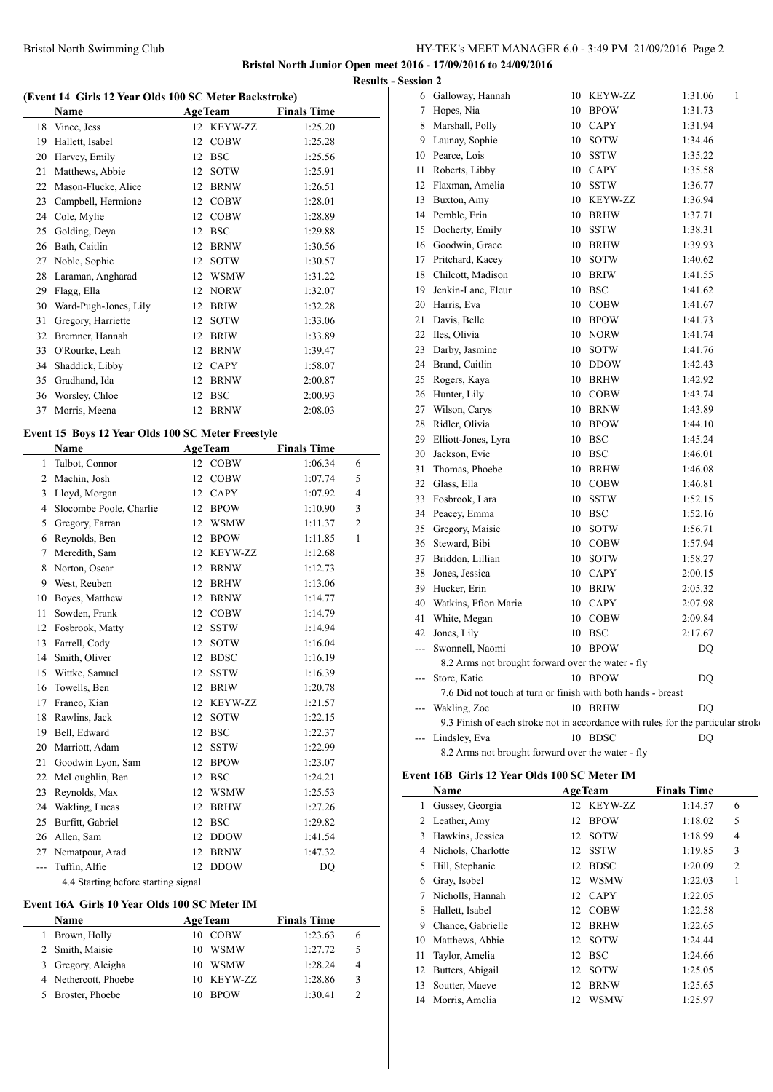## Bristol North Swimming Club HY-TEK's MEET MANAGER 6.0 - 3:49 PM 21/09/2016 Page 2

**Bristol North Junior Open meet 2016 - 17/09/2016 to 24/09/2016 Results - Session 2**

|  |  | (Event 14 Girls 12 Year Olds 100 SC Meter Backstroke) |  |
|--|--|-------------------------------------------------------|--|
|  |  |                                                       |  |

|    | Name                  |    | <b>AgeTeam</b> | <b>Finals Time</b> |
|----|-----------------------|----|----------------|--------------------|
|    | 18 Vince, Jess        |    | 12 KEYW-ZZ     | 1:25.20            |
| 19 | Hallett, Isabel       | 12 | <b>COBW</b>    | 1:25.28            |
| 20 | Harvey, Emily         | 12 | <b>BSC</b>     | 1:25.56            |
| 21 | Matthews, Abbie       | 12 | <b>SOTW</b>    | 1:25.91            |
| 22 | Mason-Flucke, Alice   | 12 | <b>BRNW</b>    | 1:26.51            |
| 23 | Campbell, Hermione    | 12 | <b>COBW</b>    | 1:28.01            |
| 24 | Cole, Mylie           | 12 | <b>COBW</b>    | 1:28.89            |
| 25 | Golding, Deya         | 12 | <b>BSC</b>     | 1:29.88            |
| 26 | Bath, Caitlin         | 12 | <b>BRNW</b>    | 1:30.56            |
| 27 | Noble, Sophie         | 12 | <b>SOTW</b>    | 1:30.57            |
| 28 | Laraman, Angharad     | 12 | <b>WSMW</b>    | 1:31.22            |
| 29 | Flagg, Ella           | 12 | <b>NORW</b>    | 1:32.07            |
| 30 | Ward-Pugh-Jones, Lily | 12 | <b>BRIW</b>    | 1:32.28            |
| 31 | Gregory, Harriette    | 12 | <b>SOTW</b>    | 1:33.06            |
| 32 | Bremner, Hannah       | 12 | <b>BRIW</b>    | 1:33.89            |
| 33 | O'Rourke, Leah        | 12 | <b>BRNW</b>    | 1:39.47            |
| 34 | Shaddick, Libby       | 12 | <b>CAPY</b>    | 1:58.07            |
| 35 | Gradhand, Ida         | 12 | <b>BRNW</b>    | 2:00.87            |
| 36 | Worsley, Chloe        | 12 | <b>BSC</b>     | 2:00.93            |
| 37 | Morris, Meena         | 12 | <b>BRNW</b>    | 2:08.03            |

### **Event 15 Boys 12 Year Olds 100 SC Meter Freestyle**

|                | Name                    |                                                  | <b>AgeTeam</b> | <b>Finals Time</b> |                |
|----------------|-------------------------|--------------------------------------------------|----------------|--------------------|----------------|
| 1              | Talbot, Connor          | 12                                               | <b>COBW</b>    | 1:06.34            | 6              |
| $\overline{2}$ | Machin, Josh            | 12                                               | <b>COBW</b>    | 1:07.74            | 5              |
| 3              | Lloyd, Morgan           | 12                                               | <b>CAPY</b>    | 1:07.92            | $\overline{4}$ |
| 4              | Slocombe Poole, Charlie | 12                                               | <b>BPOW</b>    | 1:10.90            | 3              |
| 5              | Gregory, Farran         | 12                                               | <b>WSMW</b>    | 1:11.37            | 2              |
| 6              | Reynolds, Ben           | 12                                               | <b>BPOW</b>    | 1:11.85            | $\mathbf{1}$   |
| 7              | Meredith, Sam           | 12                                               | <b>KEYW-ZZ</b> | 1:12.68            |                |
| 8              | Norton, Oscar           | 12                                               | <b>BRNW</b>    | 1:12.73            |                |
| 9              | West, Reuben            | 12                                               | <b>BRHW</b>    | 1:13.06            |                |
| 10             | Boyes, Matthew          | 12                                               | <b>BRNW</b>    | 1:14.77            |                |
| 11             | Sowden, Frank           | 12                                               | <b>COBW</b>    | 1:14.79            |                |
| 12             | Fosbrook, Matty         | 12                                               | <b>SSTW</b>    | 1:14.94            |                |
| 13             | Farrell, Cody           | 12                                               | <b>SOTW</b>    | 1:16.04            |                |
| 14             | Smith, Oliver           | 12                                               | <b>BDSC</b>    | 1:16.19            |                |
| 15             | Wittke, Samuel          | 12                                               | <b>SSTW</b>    | 1:16.39            |                |
| 16             | Towells, Ben            | 12                                               | <b>BRIW</b>    | 1:20.78            |                |
| 17             | Franco, Kian            | 12                                               | <b>KEYW-ZZ</b> | 1:21.57            |                |
| 18             | Rawlins, Jack           | 12                                               | <b>SOTW</b>    | 1:22.15            |                |
| 19             | Bell, Edward            | 12                                               | <b>BSC</b>     | 1:22.37            |                |
| 20             | Marriott, Adam          | 12                                               | <b>SSTW</b>    | 1:22.99            |                |
| 21             | Goodwin Lyon, Sam       | 12                                               | <b>BPOW</b>    | 1:23.07            |                |
| 22             | McLoughlin, Ben         | 12                                               | <b>BSC</b>     | 1:24.21            |                |
| 23             | Reynolds, Max           | 12                                               | <b>WSMW</b>    | 1:25.53            |                |
| 24             | Wakling, Lucas          | 12                                               | <b>BRHW</b>    | 1:27.26            |                |
| 25             | Burfitt, Gabriel        | 12                                               | <b>BSC</b>     | 1:29.82            |                |
| 26             | Allen, Sam              | 12                                               | <b>DDOW</b>    | 1:41.54            |                |
| 27             | Nematpour, Arad         | 12                                               | <b>BRNW</b>    | 1:47.32            |                |
| ---            | Tuffin, Alfie           | 12                                               | <b>DDOW</b>    | DQ                 |                |
|                | $A = A + C$             | $\sim$ $\sim$ $\sim$ $\sim$ $\sim$ $\sim$ $\sim$ |                |                    |                |

# 4.4 Starting before starting signal

# **Event 16A Girls 10 Year Olds 100 SC Meter IM**

| Name                 | <b>AgeTeam</b>    | <b>Finals Time</b> |   |
|----------------------|-------------------|--------------------|---|
| Brown, Holly         | <b>COBW</b><br>10 | 1:23.63            | 6 |
| 2 Smith, Maisie      | WSMW<br>10        | 1:27.72            | 5 |
| 3 Gregory, Aleigha   | WSMW<br>10        | 1:28.24            | 4 |
| 4 Nethercott, Phoebe | 10 KEYW-ZZ        | 1:28.86            | 3 |
| 5 Broster, Phoebe    | <b>BPOW</b><br>10 | 1:30.41            |   |
|                      |                   |                    |   |

| 6                        | Galloway, Hannah                                                                 |    | 10 KEYW-ZZ     | 1<br>1:31.06 |
|--------------------------|----------------------------------------------------------------------------------|----|----------------|--------------|
| $\tau$                   | Hopes, Nia                                                                       |    | 10 BPOW        | 1:31.73      |
|                          | 8 Marshall, Polly                                                                |    | 10 CAPY        | 1:31.94      |
|                          | 9 Launay, Sophie                                                                 | 10 | <b>SOTW</b>    | 1:34.46      |
|                          | 10 Pearce, Lois                                                                  | 10 | <b>SSTW</b>    | 1:35.22      |
| 11                       | Roberts, Libby                                                                   |    | 10 CAPY        | 1:35.58      |
|                          | 12 Flaxman, Amelia                                                               |    | 10 SSTW        | 1:36.77      |
|                          | 13 Buxton, Amy                                                                   | 10 | <b>KEYW-ZZ</b> | 1:36.94      |
|                          | 14 Pemble, Erin                                                                  |    | 10 BRHW        | 1:37.71      |
|                          | 15 Docherty, Emily                                                               | 10 | <b>SSTW</b>    | 1:38.31      |
|                          | 16 Goodwin, Grace                                                                | 10 | <b>BRHW</b>    | 1:39.93      |
|                          | 17 Pritchard, Kacey                                                              | 10 | <b>SOTW</b>    | 1:40.62      |
|                          | 18 Chilcott, Madison                                                             |    | 10 BRIW        | 1:41.55      |
| 19                       | Jenkin-Lane, Fleur                                                               | 10 | <b>BSC</b>     | 1:41.62      |
|                          | 20 Harris, Eva                                                                   |    | 10 COBW        | 1:41.67      |
| 21                       | Davis, Belle                                                                     | 10 | <b>BPOW</b>    | 1:41.73      |
|                          | 22 Iles, Olivia                                                                  | 10 | <b>NORW</b>    | 1:41.74      |
|                          | 23 Darby, Jasmine                                                                | 10 | <b>SOTW</b>    | 1:41.76      |
|                          | 24 Brand, Caitlin                                                                | 10 | <b>DDOW</b>    | 1:42.43      |
|                          | 25 Rogers, Kaya                                                                  | 10 | <b>BRHW</b>    | 1:42.92      |
|                          | 26 Hunter, Lily                                                                  |    | 10 COBW        | 1:43.74      |
| 27                       | Wilson, Carys                                                                    | 10 | <b>BRNW</b>    | 1:43.89      |
| 28                       | Ridler, Olivia                                                                   | 10 | <b>BPOW</b>    | 1:44.10      |
|                          | 29 Elliott-Jones, Lyra                                                           |    | 10 BSC         | 1:45.24      |
|                          | 30 Jackson, Evie                                                                 |    | 10 BSC         | 1:46.01      |
| 31                       | Thomas, Phoebe                                                                   | 10 | <b>BRHW</b>    | 1:46.08      |
|                          | 32 Glass, Ella                                                                   |    | 10 COBW        | 1:46.81      |
|                          | 33 Fosbrook, Lara                                                                | 10 | <b>SSTW</b>    | 1:52.15      |
|                          | 34 Peacey, Emma                                                                  | 10 | <b>BSC</b>     | 1:52.16      |
|                          | 35 Gregory, Maisie                                                               |    | 10 SOTW        | 1:56.71      |
|                          | 36 Steward, Bibi                                                                 |    | 10 COBW        | 1:57.94      |
| 37                       | Briddon, Lillian                                                                 | 10 | <b>SOTW</b>    | 1:58.27      |
|                          | 38 Jones, Jessica                                                                |    | 10 CAPY        | 2:00.15      |
|                          | 39 Hucker, Erin                                                                  | 10 | <b>BRIW</b>    | 2:05.32      |
|                          | 40 Watkins, Ffion Marie                                                          |    | 10 CAPY        | 2:07.98      |
|                          | 41 White, Megan                                                                  |    | 10 COBW        | 2:09.84      |
|                          | 42 Jones, Lily                                                                   |    | 10 BSC         | 2:17.67      |
| $\overline{a}$           | Swonnell, Naomi                                                                  |    | 10 BPOW        | DQ           |
|                          | 8.2 Arms not brought forward over the water - fly                                |    |                |              |
| ---                      | Store, Katie                                                                     |    | 10 BPOW        | DQ           |
|                          | 7.6 Did not touch at turn or finish with both hands - breast                     |    |                |              |
|                          | Wakling, Zoe                                                                     |    | 10 BRHW        | DQ           |
|                          | 9.3 Finish of each stroke not in accordance with rules for the particular stroke |    |                |              |
| $\overline{\phantom{a}}$ | Lindsley, Eva                                                                    |    | 10 BDSC        | DQ           |
|                          | 8.2 Arms not brought forward over the water - fly                                |    |                |              |

#### **Event 16B Girls 12 Year Olds 100 SC Meter IM**

 $\mathbb{R}$ 

|    | Name               |    | <b>AgeTeam</b> | <b>Finals Time</b> |                |  |
|----|--------------------|----|----------------|--------------------|----------------|--|
| 1  | Gussey, Georgia    |    | 12 KEYW-ZZ     | 1:14.57            | 6              |  |
| 2  | Leather, Amy       | 12 | <b>BPOW</b>    | 1:18.02            | 5              |  |
| 3  | Hawkins, Jessica   | 12 | <b>SOTW</b>    | 1:18.99            | $\overline{4}$ |  |
| 4  | Nichols, Charlotte | 12 | <b>SSTW</b>    | 1:19.85            | 3              |  |
| 5  | Hill, Stephanie    | 12 | <b>BDSC</b>    | 1:20.09            | $\overline{2}$ |  |
| 6  | Gray, Isobel       | 12 | <b>WSMW</b>    | 1:22.03            | 1              |  |
| 7  | Nicholls, Hannah   | 12 | <b>CAPY</b>    | 1:22.05            |                |  |
| 8  | Hallett, Isabel    | 12 | <b>COBW</b>    | 1:22.58            |                |  |
| 9  | Chance, Gabrielle  | 12 | <b>BRHW</b>    | 1:22.65            |                |  |
| 10 | Matthews, Abbie    | 12 | <b>SOTW</b>    | 1:24.44            |                |  |
| 11 | Taylor, Amelia     | 12 | <b>BSC</b>     | 1:24.66            |                |  |
| 12 | Butters, Abigail   | 12 | <b>SOTW</b>    | 1:25.05            |                |  |
| 13 | Soutter, Maeve     | 12 | <b>BRNW</b>    | 1:25.65            |                |  |
| 14 | Morris, Amelia     | 12 | <b>WSMW</b>    | 1:25.97            |                |  |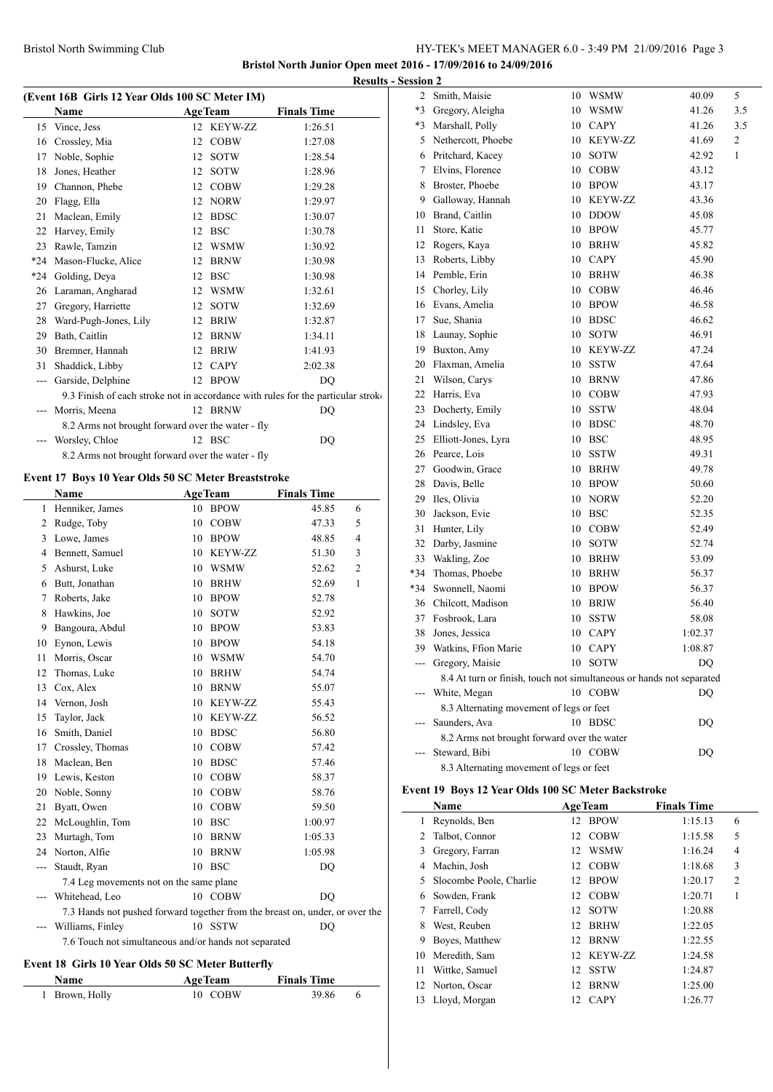# Bristol North Swimming Club HY-TEK's MEET MANAGER 6.0 - 3:49 PM 21/09/2016 Page 3

**Bristol North Junior Open meet 2016 - 17/09/2016 to 24/09/2016 Results - Session 2**

|                | (Event 16B Girls 12 Year Olds 100 SC Meter IM)      |                   |                                                                                  |
|----------------|-----------------------------------------------------|-------------------|----------------------------------------------------------------------------------|
|                | Name                                                | <b>AgeTeam</b>    | <b>Finals Time</b>                                                               |
| 15             | Vince, Jess                                         | 12 KEYW-ZZ        | 1:26.51                                                                          |
|                | 16 Crossley, Mia                                    | 12<br><b>COBW</b> | 1:27.08                                                                          |
| 17             | Noble, Sophie                                       | 12<br>SOTW        | 1:28.54                                                                          |
| 18             | Jones, Heather                                      | 12<br>SOTW        | 1:28.96                                                                          |
|                | 19 Channon, Phebe                                   | 12 COBW           | 1:29.28                                                                          |
|                | 20 Flagg, Ella                                      | 12 NORW           | 1:29.97                                                                          |
| 21             | Maclean, Emily                                      | 12 BDSC           | 1:30.07                                                                          |
|                | 22 Harvey, Emily                                    | 12 BSC            | 1:30.78                                                                          |
|                | 23 Rawle, Tamzin                                    | 12 WSMW           | 1:30.92                                                                          |
|                | *24 Mason-Flucke, Alice                             | 12 BRNW           | 1:30.98                                                                          |
|                | *24 Golding, Deya                                   | 12 BSC            | 1:30.98                                                                          |
|                | 26 Laraman, Angharad                                | 12 WSMW           | 1:32.61                                                                          |
|                | 27 Gregory, Harriette                               | 12<br>SOTW        | 1:32.69                                                                          |
|                | 28 Ward-Pugh-Jones, Lily                            | 12 BRIW           | 1:32.87                                                                          |
|                | 29 Bath, Caitlin                                    | 12<br>BRNW        | 1:34.11                                                                          |
|                | 30 Bremner, Hannah                                  | 12<br>BRIW        | 1:41.93                                                                          |
|                | 31 Shaddick, Libby                                  | 12 CAPY           | 2:02.38                                                                          |
|                | --- Garside, Delphine                               | 12 BPOW           | DQ                                                                               |
|                |                                                     |                   | 9.3 Finish of each stroke not in accordance with rules for the particular stroke |
|                | Morris, Meena                                       | 12 BRNW           | DQ                                                                               |
|                | 8.2 Arms not brought forward over the water - fly   |                   |                                                                                  |
| $ -$           | Worsley, Chloe                                      | 12 BSC            | DQ                                                                               |
|                | 8.2 Arms not brought forward over the water - fly   |                   |                                                                                  |
|                |                                                     |                   |                                                                                  |
|                | Event 17 Boys 10 Year Olds 50 SC Meter Breaststroke |                   |                                                                                  |
|                | Name                                                | <b>AgeTeam</b>    | <b>Finals Time</b>                                                               |
| 1              | Henniker, James                                     | 10 BPOW           | 6<br>45.85                                                                       |
| $\overline{2}$ | Rudge, Toby                                         | 10<br><b>COBW</b> | 47.33<br>5                                                                       |
|                | 3 Lowe, James                                       | 10<br>BPOW        | 4<br>48.85                                                                       |
|                | 4 Bennett, Samuel                                   | 10 KEYW-ZZ        | 3<br>51.30                                                                       |
|                | 5 Ashurst, Luke                                     | 10 WSMW           | 2<br>52.62                                                                       |
|                | 6 Butt, Jonathan                                    | 10<br>BRHW        | 1<br>52.69                                                                       |
| 7              | Roberts, Jake                                       | 10 BPOW           | 52.78                                                                            |
| 8              | Hawkins, Joe                                        | 10<br>SOTW        | 52.92                                                                            |
| 9              | Bangoura, Abdul                                     | 10<br>BPOW        | 53.83                                                                            |
| 10             | Eynon, Lewis                                        | 10<br><b>BPOW</b> | 54.18                                                                            |
| 11             | Morris, Oscar                                       | 10<br>WSMW        | 54.70                                                                            |
| 12             | Thomas, Luke                                        | <b>BRHW</b><br>10 | 54.74                                                                            |
| 13             | Cox, Alex                                           | <b>BRNW</b><br>10 | 55.07                                                                            |
| 14             | Vernon, Josh                                        | 10<br>KEYW-ZZ     | 55.43                                                                            |
| 15             | Taylor, Jack                                        | 10<br>KEYW-ZZ     | 56.52                                                                            |
| 16             | Smith, Daniel                                       | 10<br><b>BDSC</b> | 56.80                                                                            |
| 17             | Crossley, Thomas                                    | <b>COBW</b><br>10 | 57.42                                                                            |
| 18             | Maclean, Ben                                        | 10<br><b>BDSC</b> | 57.46                                                                            |
|                | 19 Lewis, Keston                                    | 10<br>COBW        | 58.37                                                                            |
| 20             | Noble, Sonny                                        | 10 COBW           | 58.76                                                                            |
| 21             | Byatt, Owen                                         | 10 COBW           | 59.50                                                                            |
| 22             | McLoughlin, Tom                                     | 10 BSC            | 1:00.97                                                                          |
| 23             | Murtagh, Tom                                        | 10<br>BRNW        | 1:05.33                                                                          |
| 24             | Norton, Alfie                                       | 10<br>BRNW        | 1:05.98                                                                          |
| $--$           | Staudt, Ryan                                        | 10 BSC            | DQ                                                                               |
|                | 7.4 Leg movements not on the same plane             |                   |                                                                                  |
| $\overline{a}$ | Whitehead, Leo                                      | 10 COBW           | DQ                                                                               |
|                |                                                     |                   | 7.3 Hands not pushed forward together from the breast on, under, or over the     |
|                | Williams, Finley                                    | 10 SSTW           | DQ                                                                               |

7.6 Touch not simultaneous and/or hands not separated

## **Event 18 Girls 10 Year Olds 50 SC Meter Butterfly**

| <b>Name</b>    | <b>AgeTeam</b> | <b>Finals Time</b> |  |  |
|----------------|----------------|--------------------|--|--|
| 1 Brown, Holly | 10 COBW        | 39.86              |  |  |

| 2    | Smith, Maisie                                                        | 10 | WSMW           | 40.09   | 5   |
|------|----------------------------------------------------------------------|----|----------------|---------|-----|
| $*3$ | Gregory, Aleigha                                                     | 10 | <b>WSMW</b>    | 41.26   | 3.5 |
| $*3$ | Marshall, Polly                                                      | 10 | <b>CAPY</b>    | 41.26   | 3.5 |
| 5    | Nethercott, Phoebe                                                   | 10 | <b>KEYW-ZZ</b> | 41.69   | 2   |
| 6    | Pritchard, Kacey                                                     | 10 | SOTW           | 42.92   | 1   |
| 7    | Elvins, Florence                                                     | 10 | <b>COBW</b>    | 43.12   |     |
| 8    | Broster, Phoebe                                                      | 10 | <b>BPOW</b>    | 43.17   |     |
| 9    | Galloway, Hannah                                                     | 10 | <b>KEYW-ZZ</b> | 43.36   |     |
| 10   | Brand, Caitlin                                                       | 10 | <b>DDOW</b>    | 45.08   |     |
| 11   | Store, Katie                                                         | 10 | <b>BPOW</b>    | 45.77   |     |
| 12   | Rogers, Kaya                                                         | 10 | <b>BRHW</b>    | 45.82   |     |
| 13   | Roberts, Libby                                                       | 10 | <b>CAPY</b>    | 45.90   |     |
| 14   | Pemble, Erin                                                         | 10 | <b>BRHW</b>    | 46.38   |     |
| 15   | Chorley, Lily                                                        | 10 | <b>COBW</b>    | 46.46   |     |
| 16   | Evans, Amelia                                                        | 10 | <b>BPOW</b>    | 46.58   |     |
| 17   | Sue, Shania                                                          | 10 | <b>BDSC</b>    | 46.62   |     |
| 18   | Launay, Sophie                                                       | 10 | SOTW           | 46.91   |     |
| 19   | Buxton, Amy                                                          | 10 | <b>KEYW-ZZ</b> | 47.24   |     |
| 20   | Flaxman, Amelia                                                      | 10 | SSTW           | 47.64   |     |
| 21   | Wilson, Carys                                                        | 10 | <b>BRNW</b>    | 47.86   |     |
| 22   | Harris, Eva                                                          | 10 | <b>COBW</b>    | 47.93   |     |
| 23   | Docherty, Emily                                                      | 10 | <b>SSTW</b>    | 48.04   |     |
| 24   | Lindsley, Eva                                                        | 10 | <b>BDSC</b>    | 48.70   |     |
| 25   | Elliott-Jones, Lyra                                                  | 10 | <b>BSC</b>     | 48.95   |     |
| 26   | Pearce, Lois                                                         | 10 | <b>SSTW</b>    | 49.31   |     |
| 27   | Goodwin, Grace                                                       | 10 | <b>BRHW</b>    | 49.78   |     |
| 28   | Davis, Belle                                                         | 10 | <b>BPOW</b>    | 50.60   |     |
| 29   | Iles, Olivia                                                         |    | 10 NORW        | 52.20   |     |
| 30   | Jackson, Evie                                                        | 10 | <b>BSC</b>     | 52.35   |     |
| 31   | Hunter, Lily                                                         | 10 | <b>COBW</b>    | 52.49   |     |
| 32   | Darby, Jasmine                                                       | 10 | SOTW           | 52.74   |     |
| 33   | Wakling, Zoe                                                         | 10 | <b>BRHW</b>    | 53.09   |     |
| *34  | Thomas, Phoebe                                                       | 10 | <b>BRHW</b>    | 56.37   |     |
| *34  | Swonnell, Naomi                                                      | 10 | <b>BPOW</b>    | 56.37   |     |
| 36   | Chilcott, Madison                                                    | 10 | <b>BRIW</b>    | 56.40   |     |
| 37   | Fosbrook, Lara                                                       | 10 | <b>SSTW</b>    | 58.08   |     |
| 38   | Jones, Jessica                                                       | 10 | CAPY           | 1:02.37 |     |
| 39   | Watkins, Ffion Marie                                                 | 10 | <b>CAPY</b>    | 1:08.87 |     |
| ---  | Gregory, Maisie                                                      | 10 | <b>SOTW</b>    | DQ      |     |
|      | 8.4 At turn or finish, touch not simultaneous or hands not separated |    |                |         |     |
|      | White, Megan                                                         |    | 10 COBW        | DO      |     |
|      | 8.3 Alternating movement of legs or feet                             |    |                |         |     |
|      | Saunders, Ava                                                        |    | 10 BDSC        | DQ      |     |
|      | 8.2 Arms not brought forward over the water                          |    |                |         |     |
| ---  | Steward, Bibi                                                        |    | 10 COBW        | DQ      |     |
|      | 8.3 Alternating movement of legs or feet                             |    |                |         |     |

### **Event 19 Boys 12 Year Olds 100 SC Meter Backstroke**

| Name |                         | <b>AgeTeam</b> |             | <b>Finals Time</b> |                |
|------|-------------------------|----------------|-------------|--------------------|----------------|
| 1    | Reynolds, Ben           | 12             | <b>BPOW</b> | 1:15.13            | 6              |
| 2    | Talbot, Connor          | 12             | <b>COBW</b> | 1:15.58            | 5              |
| 3    | Gregory, Farran         | 12             | <b>WSMW</b> | 1:16.24            | $\overline{4}$ |
| 4    | Machin, Josh            | 12             | <b>COBW</b> | 1:18.68            | 3              |
| 5    | Slocombe Poole, Charlie | 12             | <b>BPOW</b> | 1:20.17            | 2              |
| 6    | Sowden, Frank           | 12             | <b>COBW</b> | 1:20.71            | 1              |
| 7    | Farrell, Cody           | 12             | <b>SOTW</b> | 1:20.88            |                |
| 8    | West, Reuben            | 12             | <b>BRHW</b> | 1:22.05            |                |
| 9    | Boyes, Matthew          | 12             | <b>BRNW</b> | 1:22.55            |                |
| 10   | Meredith, Sam           | 12             | KEYW-ZZ     | 1:24.58            |                |
| 11   | Wittke, Samuel          | 12             | <b>SSTW</b> | 1:24.87            |                |
| 12   | Norton, Oscar           | 12             | <b>BRNW</b> | 1:25.00            |                |
| 13   | Lloyd, Morgan           | 12             | <b>CAPY</b> | 1:26.77            |                |